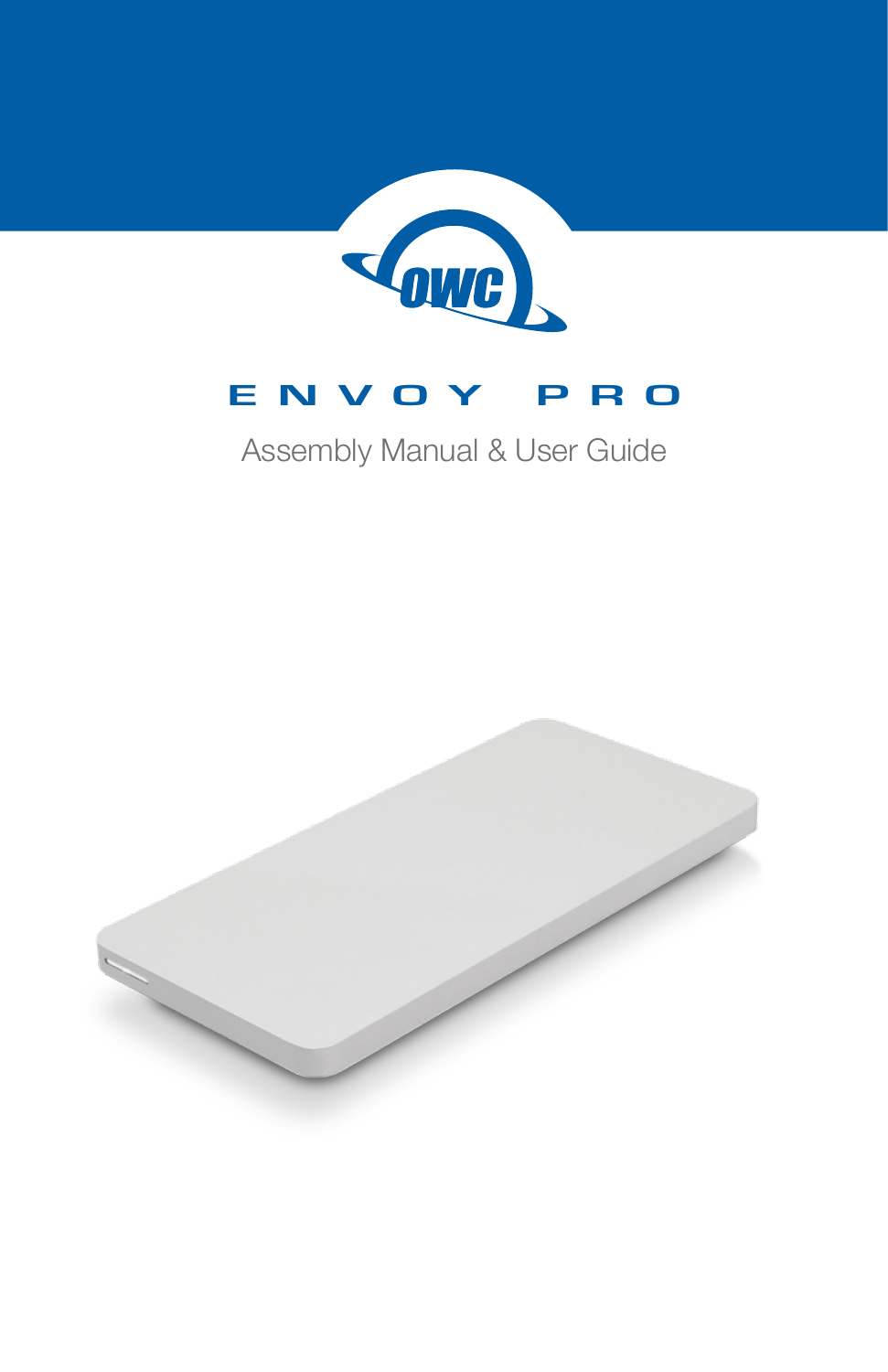

# **ENVOY PRO**

# Assembly Manual & User Guide

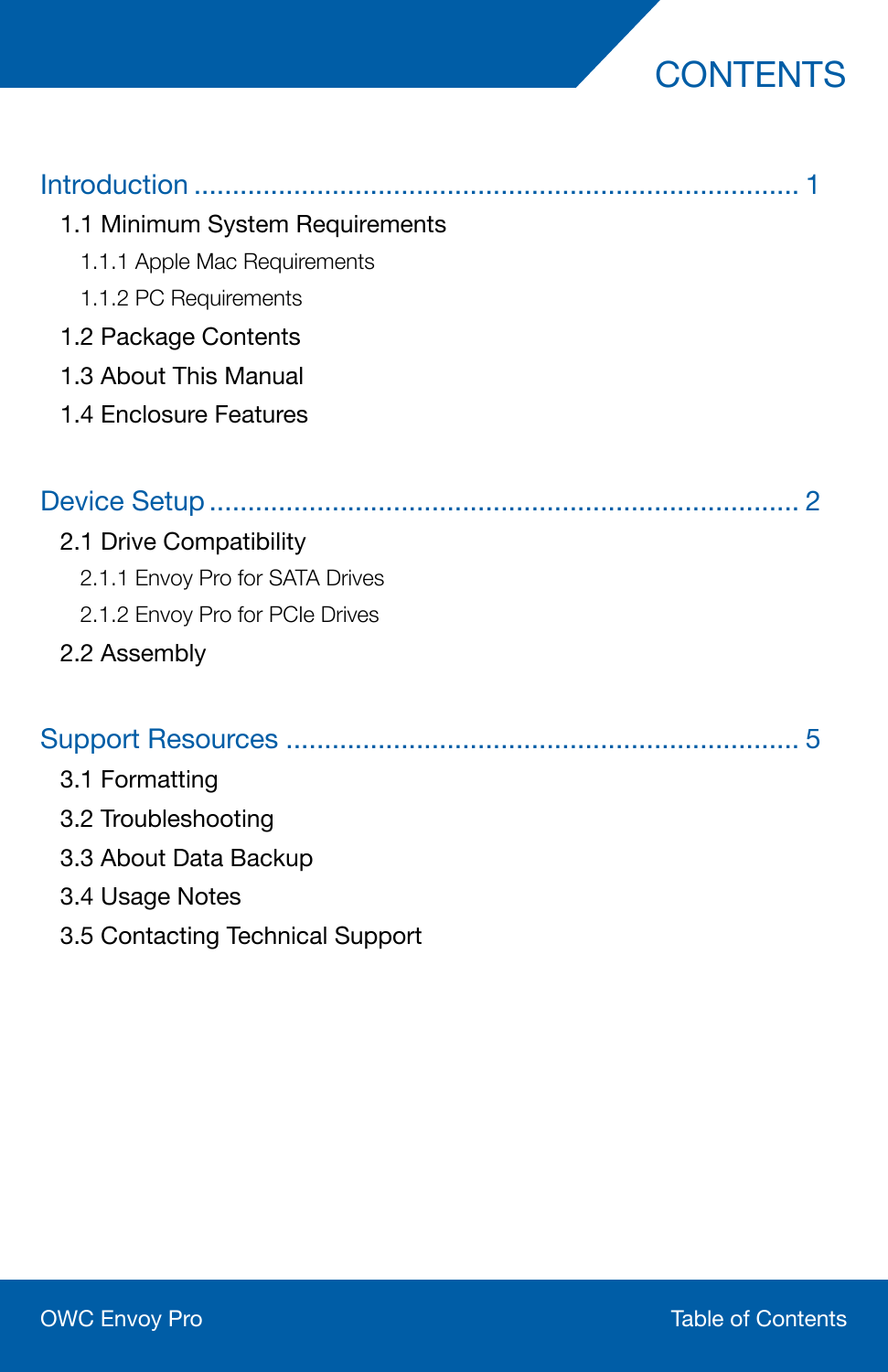# **CONTENTS**

| 1.1 Minimum System Requirements |
|---------------------------------|
| 1.1.1 Apple Mac Requirements    |
| 1.1.2 PC Requirements           |
| 1.2 Package Contents            |
| 1.3 About This Manual           |
| 1.4 Enclosure Features          |
|                                 |
| 2.1 Drive Compatibility         |
| 2.1.1 Envoy Pro for SATA Drives |
| 2.1.2 Envoy Pro for PCIe Drives |
| 2.2 Assembly                    |
|                                 |
| 3.1 Formatting                  |
| 3.2 Troubleshooting             |
| 3.3 About Data Backup           |
| 3.4 Usage Notes                 |

3.5 Contacting Technical Support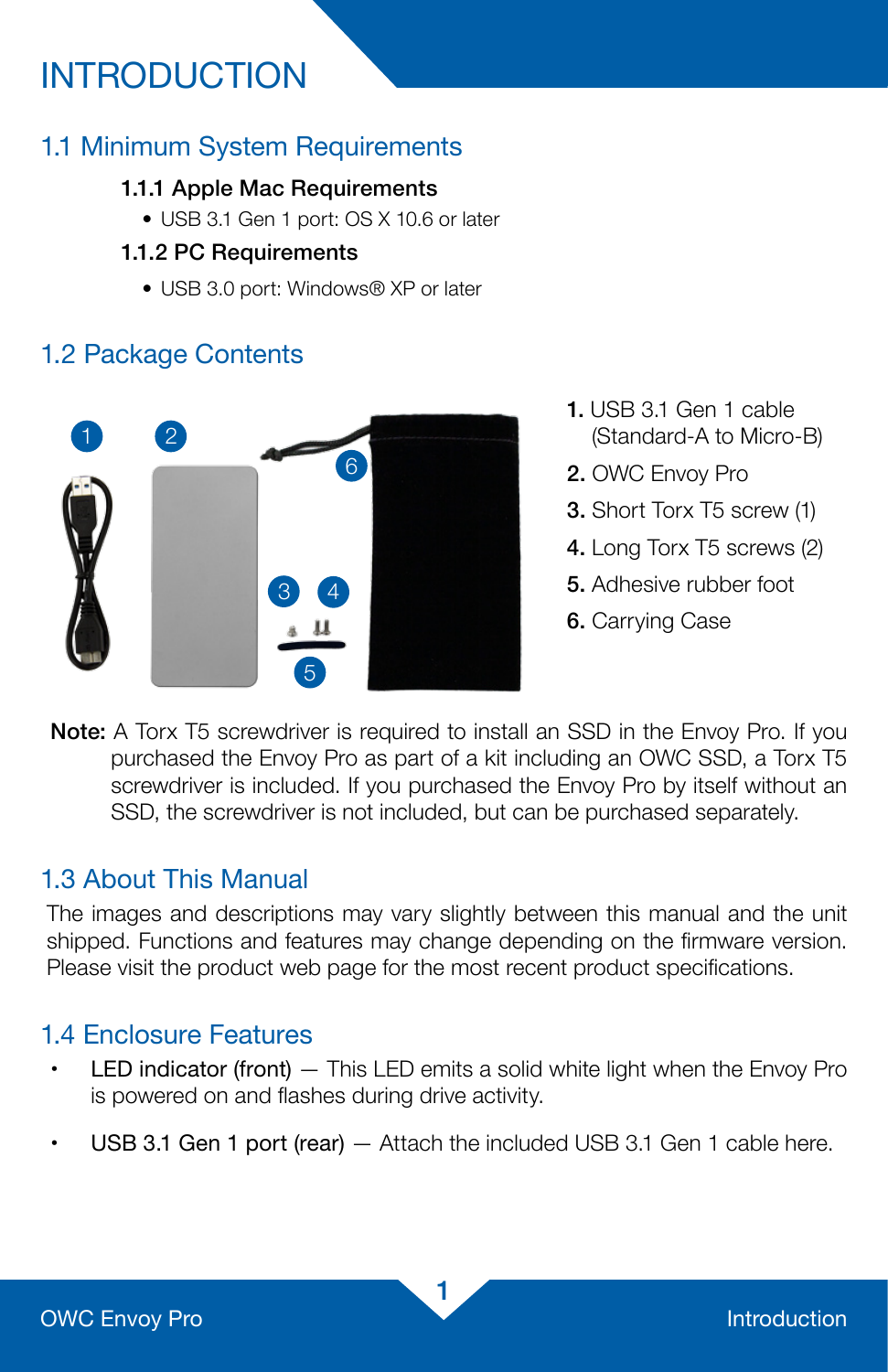# INTRODUCTION

# 1.1 Minimum System Requirements

#### 1.1.1 Apple Mac Requirements

• USB 3.1 Gen 1 port: OS X 10.6 or later

#### 1.1.2 PC Requirements

• USB 3.0 port: Windows® XP or later

# 1.2 Package Contents



- 1. USB 3.1 Gen 1 cable (Standard-A to Micro-B)
- 2. OWC Envoy Pro
- 3. Short Torx T5 screw (1)
- 4. Long Torx T5 screws (2)
- 5. Adhesive rubber foot
- 6. Carrying Case

Note: A Torx T5 screwdriver is required to install an SSD in the Envoy Pro. If you purchased the Envoy Pro as part of a kit including an OWC SSD, a Torx T5 screwdriver is included. If you purchased the Envoy Pro by itself without an SSD, the screwdriver is not included, but can be purchased separately.

### 1.3 About This Manual

The images and descriptions may vary slightly between this manual and the unit shipped. Functions and features may change depending on the firmware version. Please visit the product web page for the most recent product specifications.

## 1.4 Enclosure Features

- LED indicator (front) This LED emits a solid white light when the Envoy Pro is powered on and flashes during drive activity.
- $\cdot$  USB 3.1 Gen 1 port (rear)  $-$  Attach the included USB 3.1 Gen 1 cable here.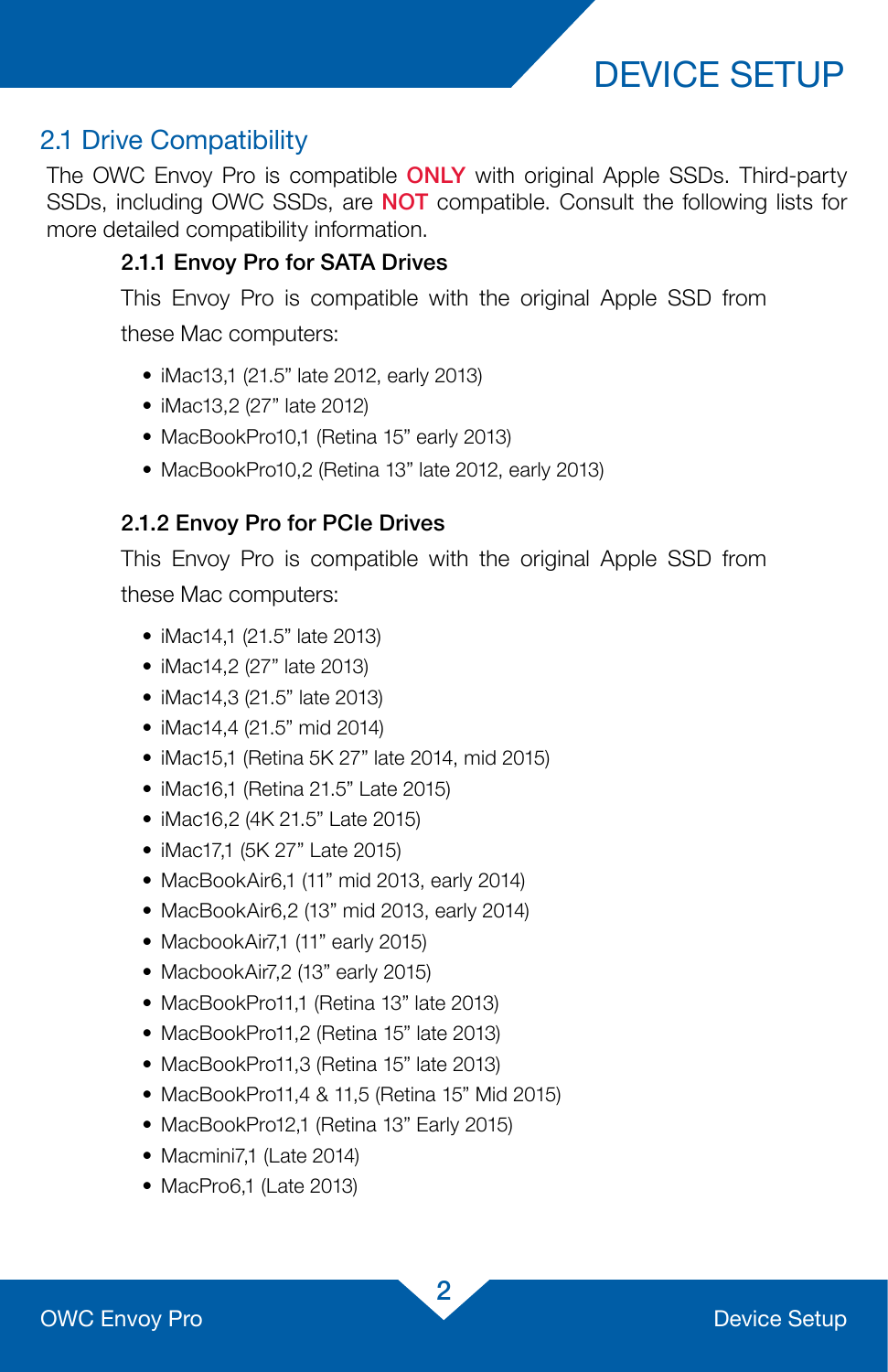# DEVICE SETUP

## 2.1 Drive Compatibility

The OWC Envoy Pro is compatible **ONLY** with original Apple SSDs. Third-party SSDs, including OWC SSDs, are NOT compatible. Consult the following lists for more detailed compatibility information.

#### 2.1.1 Envoy Pro for SATA Drives

This Envoy Pro is compatible with the original Apple SSD from these Mac computers:

- iMac13,1 (21.5" late 2012, early 2013)
- iMac13,2 (27" late 2012)
- MacBookPro10,1 (Retina 15" early 2013)
- MacBookPro10,2 (Retina 13" late 2012, early 2013)

### 2.1.2 Envoy Pro for PCIe Drives

This Envoy Pro is compatible with the original Apple SSD from these Mac computers:

- iMac14,1 (21.5" late 2013)
- iMac14,2 (27" late 2013)
- iMac14,3 (21.5" late 2013)
- iMac14.4 (21.5" mid 2014)
- iMac15,1 (Retina 5K 27" late 2014, mid 2015)
- iMac16,1 (Retina 21.5" Late 2015)
- iMac16,2 (4K 21.5" Late 2015)
- iMac17,1 (5K 27" Late 2015)
- MacBookAir6,1 (11" mid 2013, early 2014)
- MacBookAir6,2 (13" mid 2013, early 2014)
- MacbookAir7,1 (11" early 2015)
- MacbookAir7,2 (13" early 2015)
- MacBookPro11,1 (Retina 13" late 2013)
- MacBookPro11,2 (Retina 15" late 2013)
- MacBookPro11,3 (Retina 15" late 2013)
- MacBookPro11,4 & 11,5 (Retina 15" Mid 2015)
- MacBookPro12,1 (Retina 13" Early 2015)
- Macmini7,1 (Late 2014)
- MacPro6,1 (Late 2013)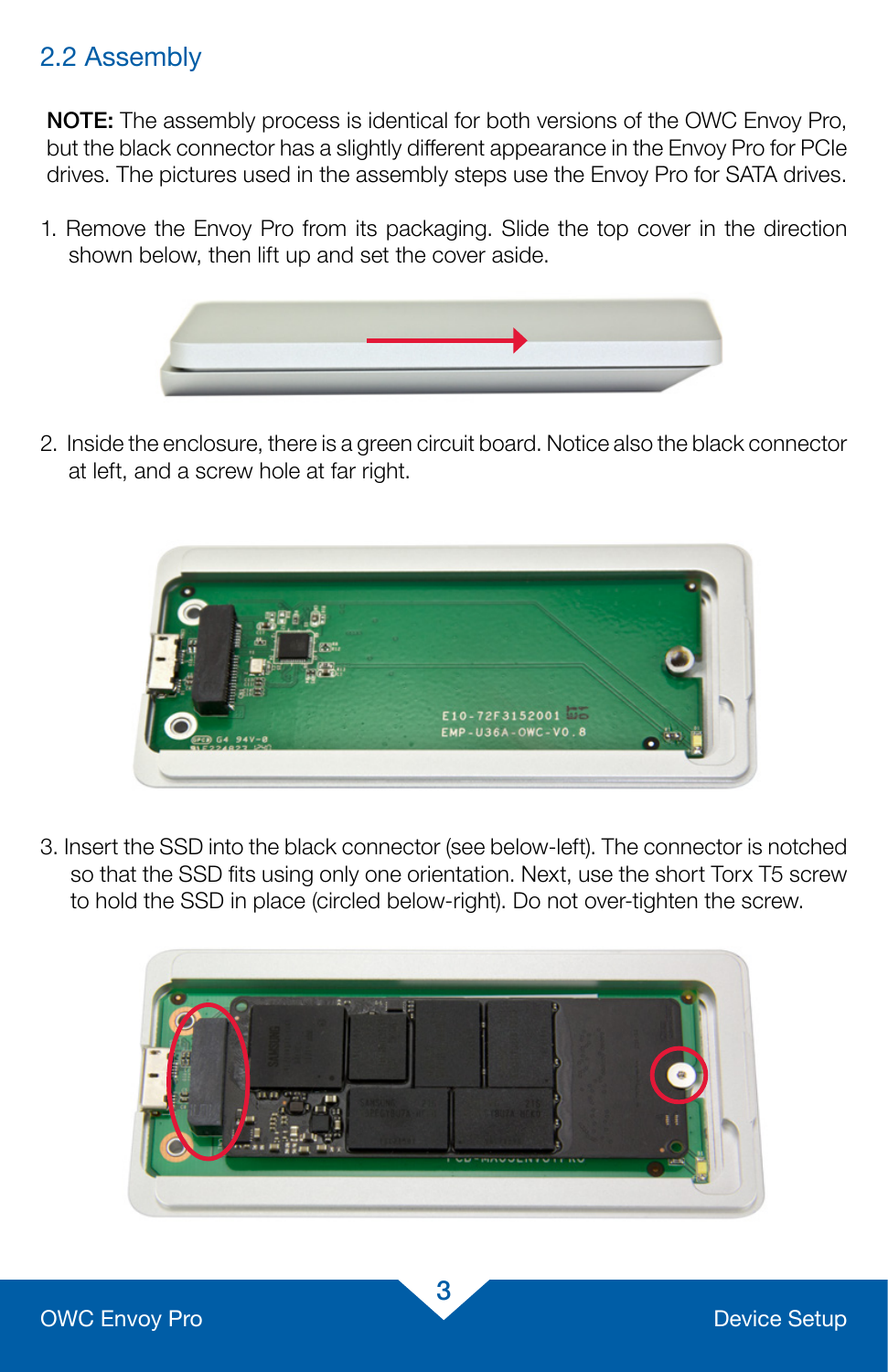# 2.2 Assembly

NOTE: The assembly process is identical for both versions of the OWC Envoy Pro, but the black connector has a slightly different appearance in the Envoy Pro for PCIe drives. The pictures used in the assembly steps use the Envoy Pro for SATA drives.

1. Remove the Envoy Pro from its packaging. Slide the top cover in the direction shown below, then lift up and set the cover aside.



2. Inside the enclosure, there is a green circuit board. Notice also the black connector at left, and a screw hole at far right.



3. Insert the SSD into the black connector (see below-left). The connector is notched so that the SSD fits using only one orientation. Next, use the short Torx T5 screw to hold the SSD in place (circled below-right). Do not over-tighten the screw.

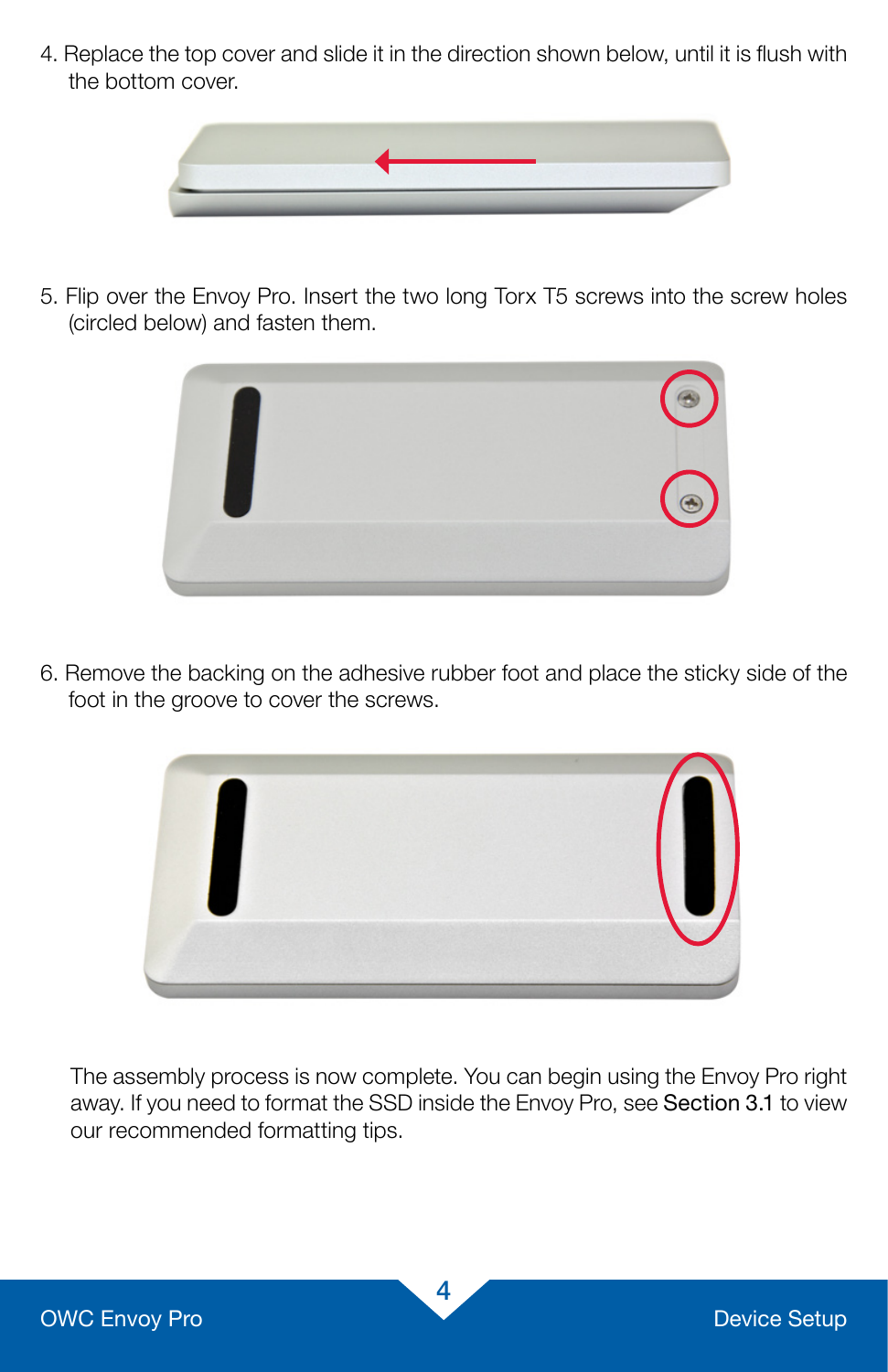4. Replace the top cover and slide it in the direction shown below, until it is flush with the bottom cover.



5. Flip over the Envoy Pro. Insert the two long Torx T5 screws into the screw holes (circled below) and fasten them.



6. Remove the backing on the adhesive rubber foot and place the sticky side of the foot in the groove to cover the screws.



The assembly process is now complete. You can begin using the Envoy Pro right away. If you need to format the SSD inside the Envoy Pro, see Section 3.1 to view our recommended formatting tips.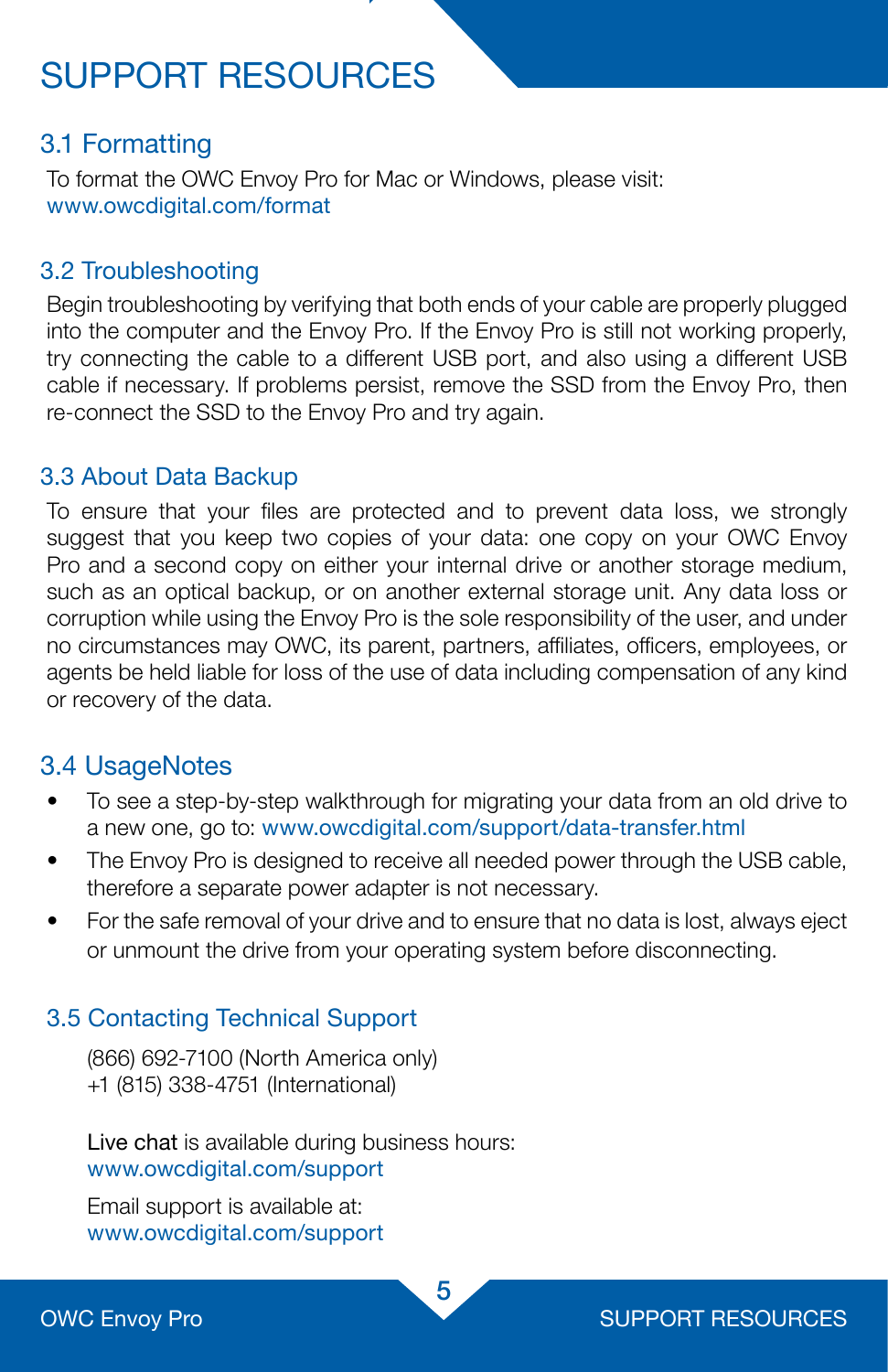# SUPPORT RESOURCES

## 3.1 Formatting

To format the OWC Envoy Pro for Mac or Windows, please visit: [www.owcdigital.com/format](http://www.owcdigital.com/format)

### 3.2 Troubleshooting

Begin troubleshooting by verifying that both ends of your cable are properly plugged into the computer and the Envoy Pro. If the Envoy Pro is still not working properly, try connecting the cable to a different USB port, and also using a different USB cable if necessary. If problems persist, remove the SSD from the Envoy Pro, then re-connect the SSD to the Envoy Pro and try again.

### 3.3 About Data Backup

To ensure that your files are protected and to prevent data loss, we strongly suggest that you keep two copies of your data: one copy on your OWC Envoy Pro and a second copy on either your internal drive or another storage medium, such as an optical backup, or on another external storage unit. Any data loss or corruption while using the Envoy Pro is the sole responsibility of the user, and under no circumstances may OWC, its parent, partners, affiliates, officers, employees, or agents be held liable for loss of the use of data including compensation of any kind or recovery of the data.

## 3.4 UsageNotes

- To see a step-by-step walkthrough for migrating your data from an old drive to a new one, go to: [www.owcdigital.com/support/data-transfer.html](http://www.owcdigital.com/support/data-transfer.html)
- The Envoy Pro is designed to receive all needed power through the USB cable, therefore a separate power adapter is not necessary.
- For the safe removal of your drive and to ensure that no data is lost, always eject or unmount the drive from your operating system before disconnecting.

### 3.5 Contacting Technical Support

(866) 692-7100 (North America only) +1 (815) 338-4751 (International)

Live chat is available during business hours: www.owcdigital.com/support

Email support is available at: www.owcdigital.com/support